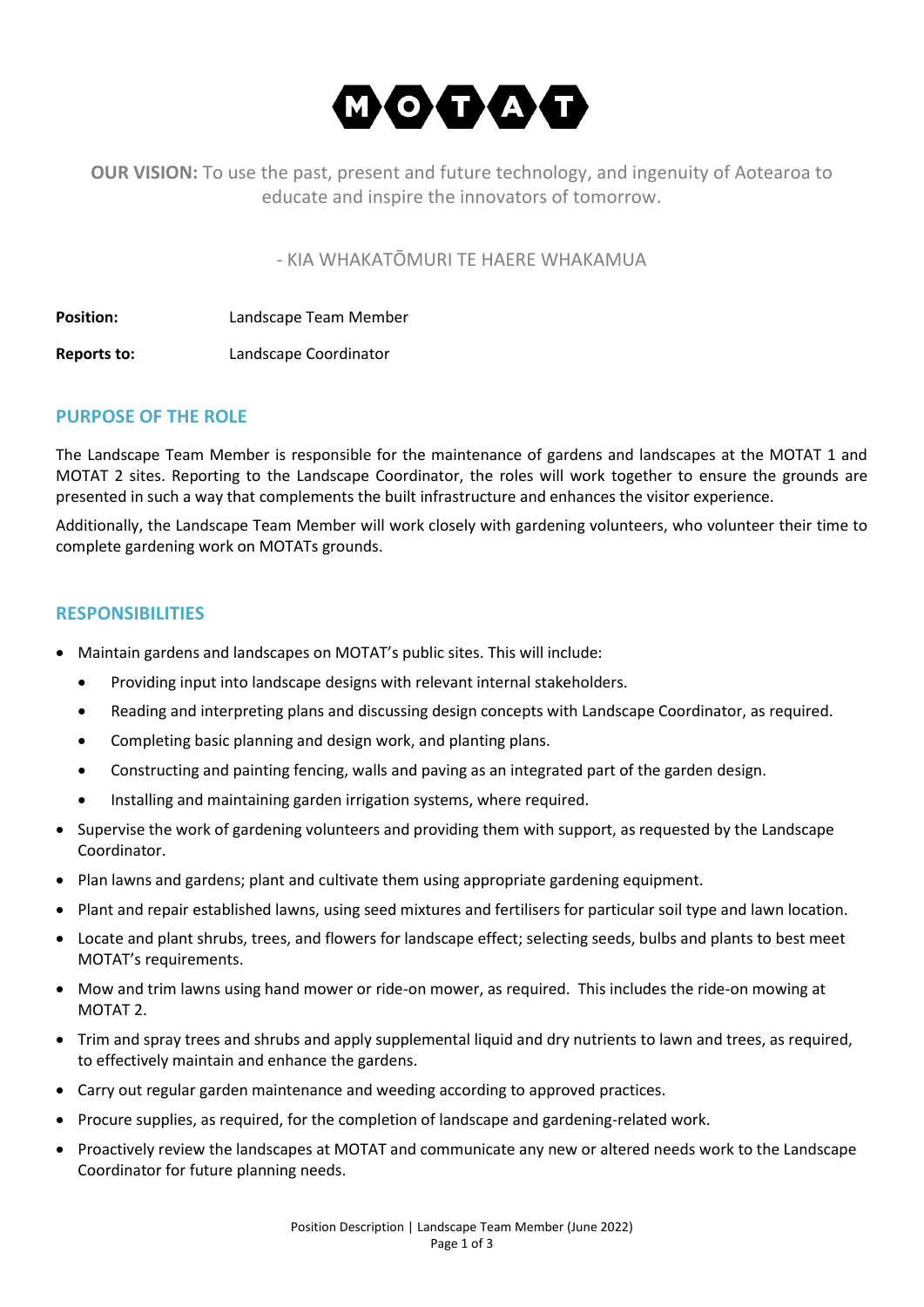

**OUR VISION:** To use the past, present and future technology, and ingenuity of Aotearoa to educate and inspire the innovators of tomorrow.

- KIA WHAKATŌMURI TE HAERE WHAKAMUA

**Position:** Landscape Team Member

**Reports to:** Landscape Coordinator

## **PURPOSE OF THE ROLE**

The Landscape Team Member is responsible for the maintenance of gardens and landscapes at the MOTAT 1 and MOTAT 2 sites. Reporting to the Landscape Coordinator, the roles will work together to ensure the grounds are presented in such a way that complements the built infrastructure and enhances the visitor experience.

Additionally, the Landscape Team Member will work closely with gardening volunteers, who volunteer their time to complete gardening work on MOTATs grounds.

#### **RESPONSIBILITIES**

- Maintain gardens and landscapes on MOTAT's public sites. This will include:
	- Providing input into landscape designs with relevant internal stakeholders.
	- Reading and interpreting plans and discussing design concepts with Landscape Coordinator, as required.
	- Completing basic planning and design work, and planting plans.
	- Constructing and painting fencing, walls and paving as an integrated part of the garden design.
	- Installing and maintaining garden irrigation systems, where required.
- Supervise the work of gardening volunteers and providing them with support, as requested by the Landscape Coordinator.
- Plan lawns and gardens; plant and cultivate them using appropriate gardening equipment.
- Plant and repair established lawns, using seed mixtures and fertilisers for particular soil type and lawn location.
- Locate and plant shrubs, trees, and flowers for landscape effect; selecting seeds, bulbs and plants to best meet MOTAT's requirements.
- Mow and trim lawns using hand mower or ride-on mower, as required. This includes the ride-on mowing at MOTAT 2.
- Trim and spray trees and shrubs and apply supplemental liquid and dry nutrients to lawn and trees, as required, to effectively maintain and enhance the gardens.
- Carry out regular garden maintenance and weeding according to approved practices.
- Procure supplies, as required, for the completion of landscape and gardening-related work.
- Proactively review the landscapes at MOTAT and communicate any new or altered needs work to the Landscape Coordinator for future planning needs.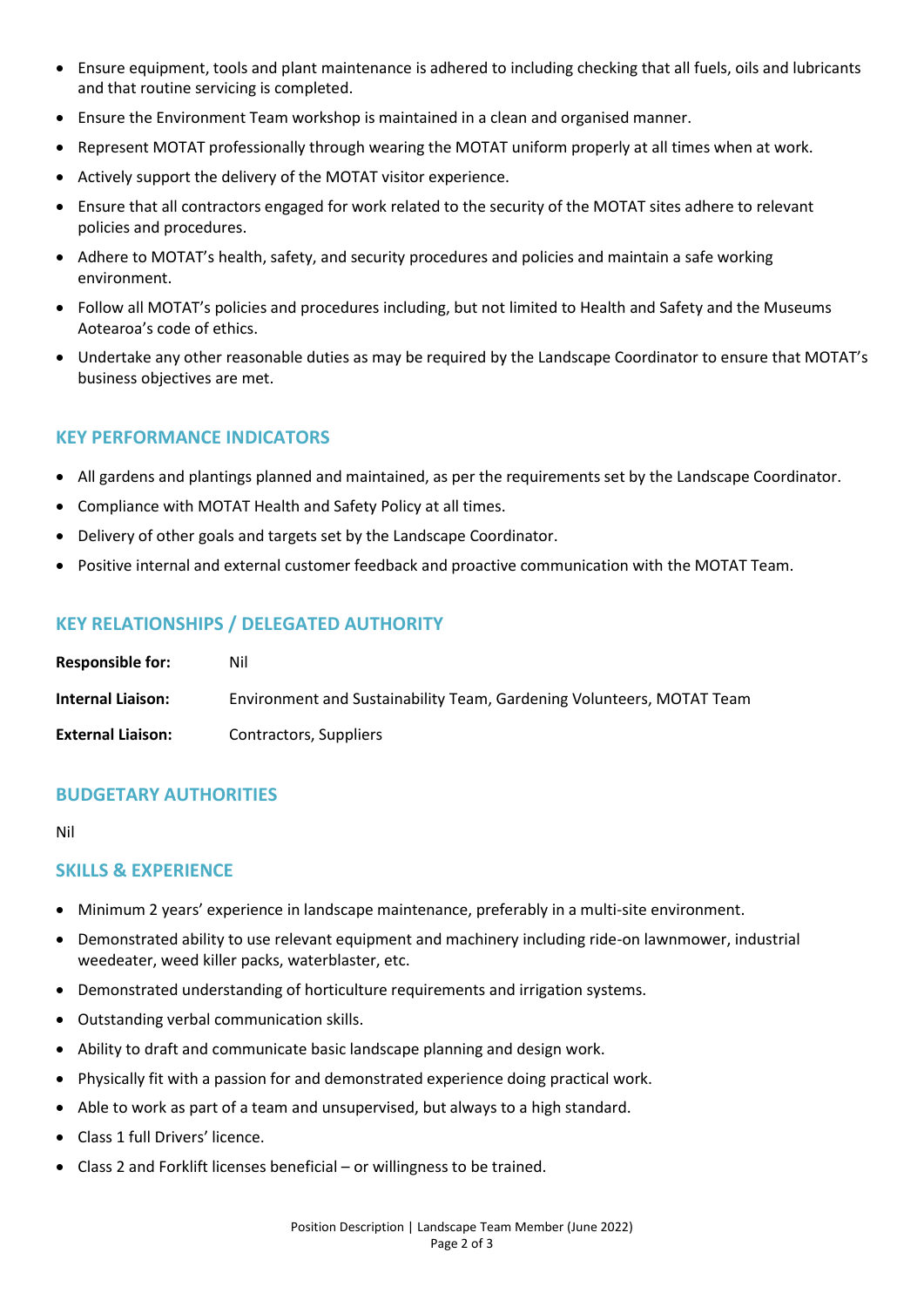- Ensure equipment, tools and plant maintenance is adhered to including checking that all fuels, oils and lubricants and that routine servicing is completed.
- Ensure the Environment Team workshop is maintained in a clean and organised manner.
- Represent MOTAT professionally through wearing the MOTAT uniform properly at all times when at work.
- Actively support the delivery of the MOTAT visitor experience.
- Ensure that all contractors engaged for work related to the security of the MOTAT sites adhere to relevant policies and procedures.
- Adhere to MOTAT's health, safety, and security procedures and policies and maintain a safe working environment.
- Follow all MOTAT's policies and procedures including, but not limited to Health and Safety and the Museums Aotearoa's code of ethics.
- Undertake any other reasonable duties as may be required by the Landscape Coordinator to ensure that MOTAT's business objectives are met.

## **KEY PERFORMANCE INDICATORS**

- All gardens and plantings planned and maintained, as per the requirements set by the Landscape Coordinator.
- Compliance with MOTAT Health and Safety Policy at all times.
- Delivery of other goals and targets set by the Landscape Coordinator.
- Positive internal and external customer feedback and proactive communication with the MOTAT Team.

## **KEY RELATIONSHIPS / DELEGATED AUTHORITY**

| <b>Responsible for:</b>  | Nil                                                                   |
|--------------------------|-----------------------------------------------------------------------|
| <b>Internal Liaison:</b> | Environment and Sustainability Team, Gardening Volunteers, MOTAT Team |
| <b>External Liaison:</b> | Contractors, Suppliers                                                |

## **BUDGETARY AUTHORITIES**

Nil

#### **SKILLS & EXPERIENCE**

- Minimum 2 years' experience in landscape maintenance, preferably in a multi-site environment.
- Demonstrated ability to use relevant equipment and machinery including ride-on lawnmower, industrial weedeater, weed killer packs, waterblaster, etc.
- Demonstrated understanding of horticulture requirements and irrigation systems.
- Outstanding verbal communication skills.
- Ability to draft and communicate basic landscape planning and design work.
- Physically fit with a passion for and demonstrated experience doing practical work.
- Able to work as part of a team and unsupervised, but always to a high standard.
- Class 1 full Drivers' licence.
- Class 2 and Forklift licenses beneficial or willingness to be trained.